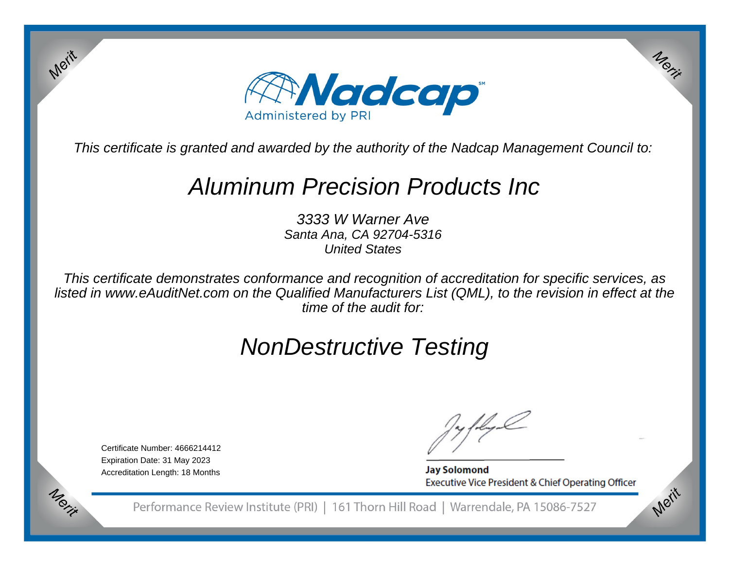

This certificate is granted and awarded by the authority of the Nadcap Management Council to:

# Aluminum Precision Products Inc

3333 W Warner Ave Santa Ana, CA 92704-5316United States

This certificate demonstrates conformance and recognition of accreditation for specific services, as listed in www.eAuditNet.com on the Qualified Manufacturers List (QML), to the revision in effect at thetime of the audit for:

# NonDestructive Testing

Certificate Number: 4666214412Expiration Date: 31 May 2023Accreditation Length: 18 Months

Merit

Merit

**Jay Solomond** Executive Vice President & Chief Operating Officer Merit

Merit

Performance Review Institute (PRI) | 161 Thorn Hill Road | Warrendale, PA 15086-7527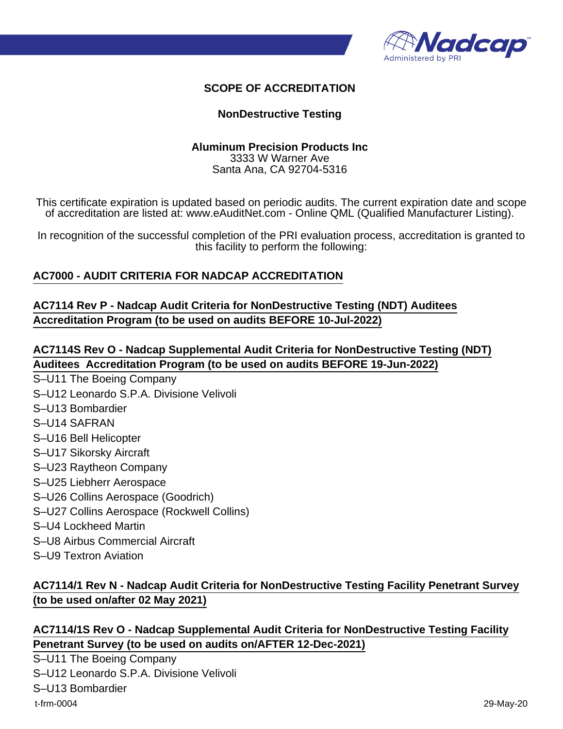

### **SCOPE OF ACCREDITATION**

#### **NonDestructive Testing**

#### **Aluminum Precision Products Inc** 3333 W Warner Ave Santa Ana, CA 92704-5316

This certificate expiration is updated based on periodic audits. The current expiration date and scope of accreditation are listed at: www.eAuditNet.com - Online QML (Qualified Manufacturer Listing).

In recognition of the successful completion of the PRI evaluation process, accreditation is granted to this facility to perform the following:

### **AC7000 - AUDIT CRITERIA FOR NADCAP ACCREDITATION**

**AC7114 Rev P - Nadcap Audit Criteria for NonDestructive Testing (NDT) Auditees Accreditation Program (to be used on audits BEFORE 10-Jul-2022)**

# **AC7114S Rev O - Nadcap Supplemental Audit Criteria for NonDestructive Testing (NDT) Auditees Accreditation Program (to be used on audits BEFORE 19-Jun-2022)**

- S–U11 The Boeing Company
- S–U12 Leonardo S.P.A. Divisione Velivoli
- S–U13 Bombardier
- S–U14 SAFRAN
- S–U16 Bell Helicopter
- S–U17 Sikorsky Aircraft
- S–U23 Raytheon Company
- S–U25 Liebherr Aerospace
- S–U26 Collins Aerospace (Goodrich)
- S–U27 Collins Aerospace (Rockwell Collins)
- S–U4 Lockheed Martin
- S–U8 Airbus Commercial Aircraft
- S–U9 Textron Aviation

# **AC7114/1 Rev N - Nadcap Audit Criteria for NonDestructive Testing Facility Penetrant Survey (to be used on/after 02 May 2021)**

### **AC7114/1S Rev O - Nadcap Supplemental Audit Criteria for NonDestructive Testing Facility Penetrant Survey (to be used on audits on/AFTER 12-Dec-2021)**

S–U11 The Boeing Company S–U12 Leonardo S.P.A. Divisione Velivoli S–U13 Bombardier t-frm-0004 29-May-20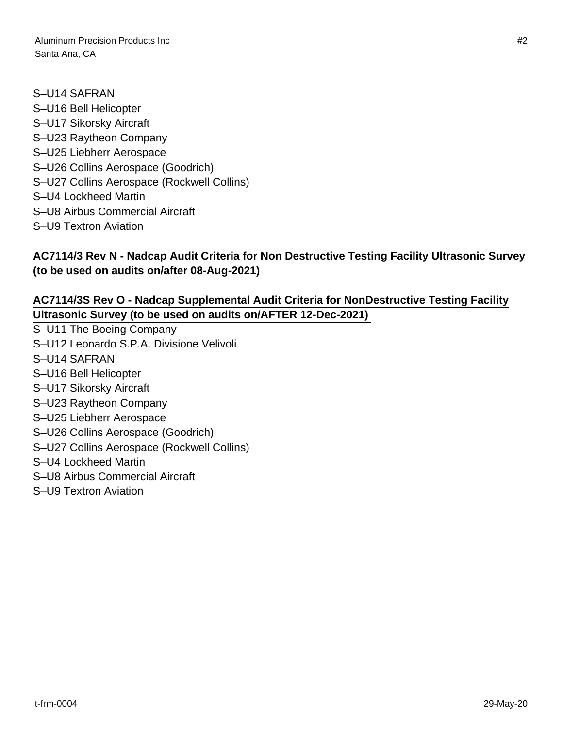Aluminum Precision Products Inc #2 Santa Ana, CA

S–U14 SAFRAN S–U16 Bell Helicopter S–U17 Sikorsky Aircraft S–U23 Raytheon Company S–U25 Liebherr Aerospace S–U26 Collins Aerospace (Goodrich) S–U27 Collins Aerospace (Rockwell Collins) S–U4 Lockheed Martin S–U8 Airbus Commercial Aircraft S–U9 Textron Aviation

## **AC7114/3 Rev N - Nadcap Audit Criteria for Non Destructive Testing Facility Ultrasonic Survey (to be used on audits on/after 08-Aug-2021)**

## **AC7114/3S Rev O - Nadcap Supplemental Audit Criteria for NonDestructive Testing Facility Ultrasonic Survey (to be used on audits on/AFTER 12-Dec-2021)**

- S–U11 The Boeing Company
- S–U12 Leonardo S.P.A. Divisione Velivoli
- S–U14 SAFRAN
- S–U16 Bell Helicopter
- S–U17 Sikorsky Aircraft
- S–U23 Raytheon Company
- S–U25 Liebherr Aerospace
- S–U26 Collins Aerospace (Goodrich)
- S–U27 Collins Aerospace (Rockwell Collins)
- S–U4 Lockheed Martin
- S–U8 Airbus Commercial Aircraft
- S–U9 Textron Aviation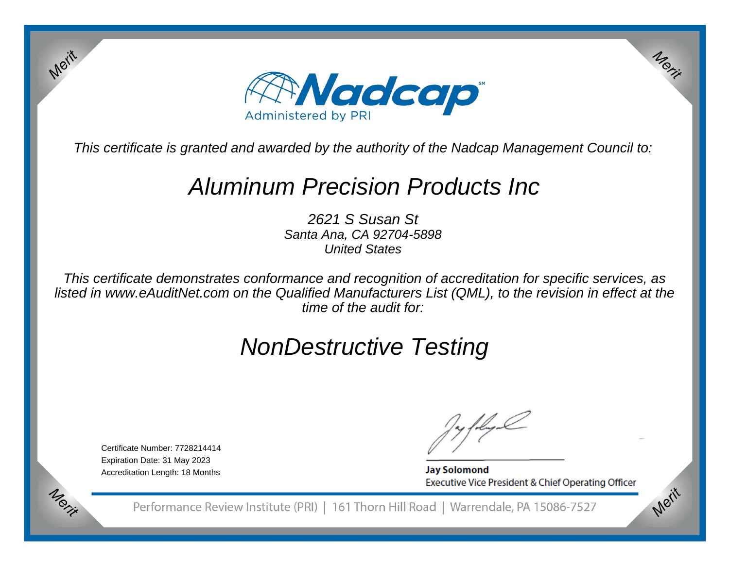

This certificate is granted and awarded by the authority of the Nadcap Management Council to:

# Aluminum Precision Products Inc

2621 S Susan St Santa Ana, CA 92704-5898United States

This certificate demonstrates conformance and recognition of accreditation for specific services, as listed in www.eAuditNet.com on the Qualified Manufacturers List (QML), to the revision in effect at thetime of the audit for:

# NonDestructive Testing

Certificate Number: 7728214414Expiration Date: 31 May 2023Accreditation Length: 18 Months

Merit

Merit

**Jay Solomond** Executive Vice President & Chief Operating Officer Merit

Merit

Performance Review Institute (PRI) | 161 Thorn Hill Road | Warrendale, PA 15086-7527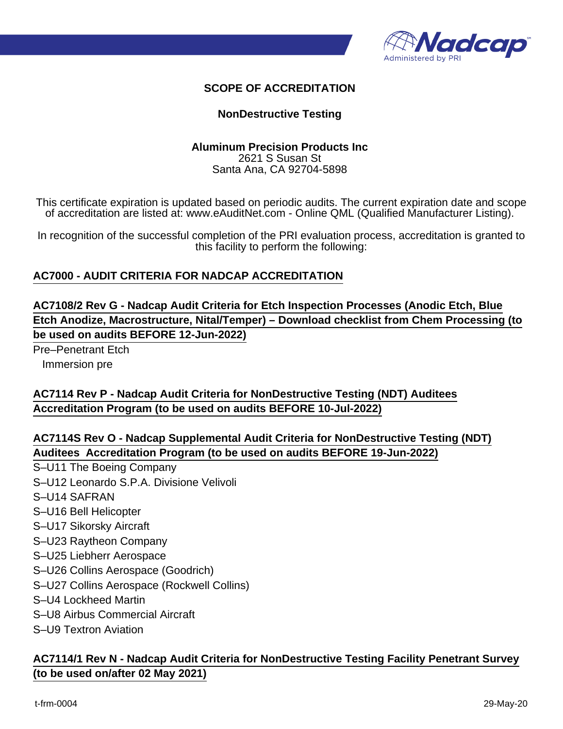

### **SCOPE OF ACCREDITATION**

#### **NonDestructive Testing**

#### **Aluminum Precision Products Inc** 2621 S Susan St Santa Ana, CA 92704-5898

This certificate expiration is updated based on periodic audits. The current expiration date and scope of accreditation are listed at: www.eAuditNet.com - Online QML (Qualified Manufacturer Listing).

In recognition of the successful completion of the PRI evaluation process, accreditation is granted to this facility to perform the following:

#### **AC7000 - AUDIT CRITERIA FOR NADCAP ACCREDITATION**

**AC7108/2 Rev G - Nadcap Audit Criteria for Etch Inspection Processes (Anodic Etch, Blue Etch Anodize, Macrostructure, Nital/Temper) – Download checklist from Chem Processing (to be used on audits BEFORE 12-Jun-2022)**

Pre–Penetrant Etch Immersion pre

### **AC7114 Rev P - Nadcap Audit Criteria for NonDestructive Testing (NDT) Auditees Accreditation Program (to be used on audits BEFORE 10-Jul-2022)**

**AC7114S Rev O - Nadcap Supplemental Audit Criteria for NonDestructive Testing (NDT) Auditees Accreditation Program (to be used on audits BEFORE 19-Jun-2022)**

- S–U11 The Boeing Company
- S–U12 Leonardo S.P.A. Divisione Velivoli
- S–U14 SAFRAN
- S–U16 Bell Helicopter
- S–U17 Sikorsky Aircraft
- S–U23 Raytheon Company
- S–U25 Liebherr Aerospace
- S–U26 Collins Aerospace (Goodrich)
- S–U27 Collins Aerospace (Rockwell Collins)
- S–U4 Lockheed Martin
- S–U8 Airbus Commercial Aircraft
- S–U9 Textron Aviation

#### **AC7114/1 Rev N - Nadcap Audit Criteria for NonDestructive Testing Facility Penetrant Survey (to be used on/after 02 May 2021)**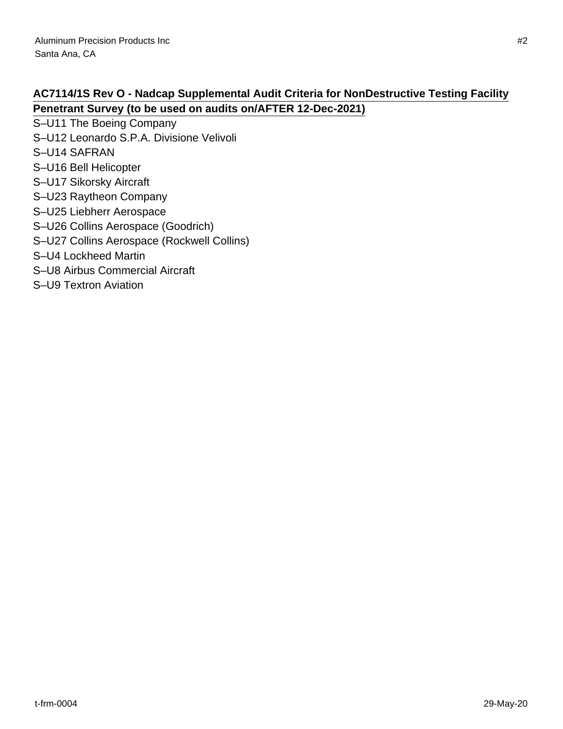# **AC7114/1S Rev O - Nadcap Supplemental Audit Criteria for NonDestructive Testing Facility Penetrant Survey (to be used on audits on/AFTER 12-Dec-2021)**

- S–U11 The Boeing Company
- S–U12 Leonardo S.P.A. Divisione Velivoli
- S–U14 SAFRAN
- S–U16 Bell Helicopter
- S–U17 Sikorsky Aircraft
- S–U23 Raytheon Company
- S–U25 Liebherr Aerospace
- S–U26 Collins Aerospace (Goodrich)
- S–U27 Collins Aerospace (Rockwell Collins)
- S–U4 Lockheed Martin
- S–U8 Airbus Commercial Aircraft
- S–U9 Textron Aviation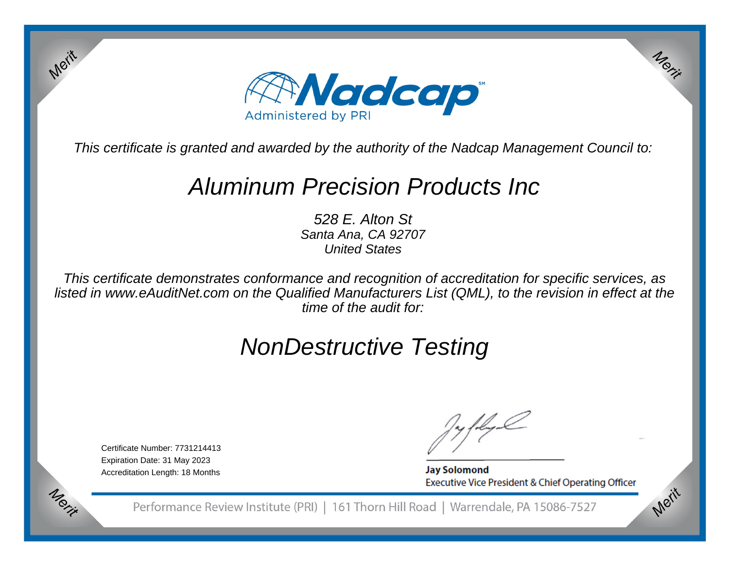

This certificate is granted and awarded by the authority of the Nadcap Management Council to:

# Aluminum Precision Products Inc

528 E. Alton St Santa Ana, CA 92707United States

This certificate demonstrates conformance and recognition of accreditation for specific services, as listed in www.eAuditNet.com on the Qualified Manufacturers List (QML), to the revision in effect at thetime of the audit for:

# NonDestructive Testing

Certificate Number: 7731214413Expiration Date: 31 May 2023Accreditation Length: 18 Months

Merit

Merit

**Jay Solomond** Executive Vice President & Chief Operating Officer Merit

Merit

Performance Review Institute (PRI) | 161 Thorn Hill Road | Warrendale, PA 15086-7527